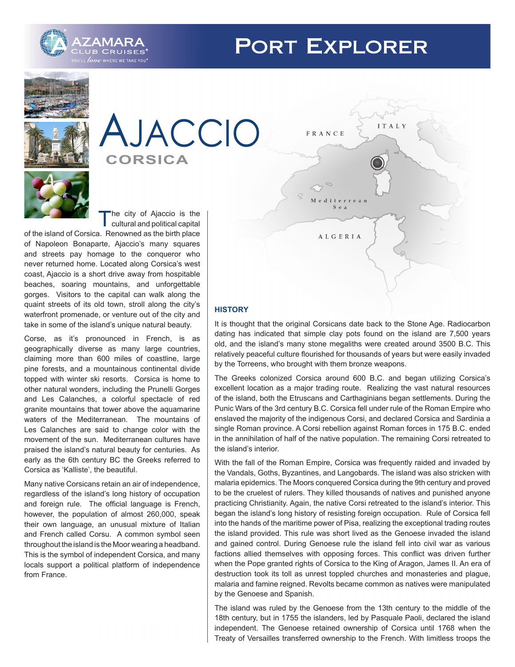# **PORT EXPLORER**







The city of Ajaccio is the cultural and political capital

of the island of Corsica. Renowned as the birth place of Napoleon Bonaparte, Ajaccio's many squares and streets pay homage to the conqueror who never returned home. Located along Corsica's west coast, Ajaccio is a short drive away from hospitable beaches, soaring mountains, and unforgettable gorges. Visitors to the capital can walk along the quaint streets of its old town, stroll along the city's waterfront promenade, or venture out of the city and take in some of the island's unique natural beauty.

Corse, as it's pronounced in French, is as geographically diverse as many large countries, claiming more than 600 miles of coastline, large pine forests, and a mountainous continental divide topped with winter ski resorts. Corsica is home to other natural wonders, including the Prunelli Gorges and Les Calanches, a colorful spectacle of red granite mountains that tower above the aquamarine waters of the Mediterranean. The mountains of Les Calanches are said to change color with the movement of the sun. Mediterranean cultures have praised the island's natural beauty for centuries. As early as the 6th century BC the Greeks referred to Corsica as 'Kalliste', the beautiful.

Many native Corsicans retain an air of independence, regardless of the island's long history of occupation and foreign rule. The official language is French, however, the population of almost 260,000, speak their own language, an unusual mixture of Italian and French called Corsu. A common symbol seen throughout the island is the Moor wearing a headband. This is the symbol of independent Corsica, and many locals support a political platform of independence from France.



# **HISTORY**

It is thought that the original Corsicans date back to the Stone Age. Radiocarbon dating has indicated that simple clay pots found on the island are 7,500 years old, and the island's many stone megaliths were created around 3500 B.C. This relatively peaceful culture flourished for thousands of years but were easily invaded by the Torreens, who brought with them bronze weapons.

The Greeks colonized Corsica around 600 B.C. and began utilizing Corsica's excellent location as a major trading route. Realizing the vast natural resources of the island, both the Etruscans and Carthaginians began settlements. During the Punic Wars of the 3rd century B.C. Corsica fell under rule of the Roman Empire who enslaved the majority of the indigenous Corsi, and declared Corsica and Sardinia a single Roman province. A Corsi rebellion against Roman forces in 175 B.C. ended in the annihilation of half of the native population. The remaining Corsi retreated to the island's interior.

With the fall of the Roman Empire, Corsica was frequently raided and invaded by the Vandals, Goths, Byzantines, and Langobards. The island was also stricken with malaria epidemics. The Moors conquered Corsica during the 9th century and proved to be the cruelest of rulers. They killed thousands of natives and punished anyone practicing Christianity. Again, the native Corsi retreated to the island's interior. This began the island's long history of resisting foreign occupation. Rule of Corsica fell into the hands of the maritime power of Pisa, realizing the exceptional trading routes the island provided. This rule was short lived as the Genoese invaded the island and gained control. During Genoese rule the island fell into civil war as various factions allied themselves with opposing forces. This conflict was driven further when the Pope granted rights of Corsica to the King of Aragon, James II. An era of destruction took its toll as unrest toppled churches and monasteries and plague, malaria and famine reigned. Revolts became common as natives were manipulated by the Genoese and Spanish.

The island was ruled by the Genoese from the 13th century to the middle of the 18th century, but in 1755 the islanders, led by Pasquale Paoli, declared the island independent. The Genoese retained ownership of Corsica until 1768 when the Treaty of Versailles transferred ownership to the French. With limitless troops the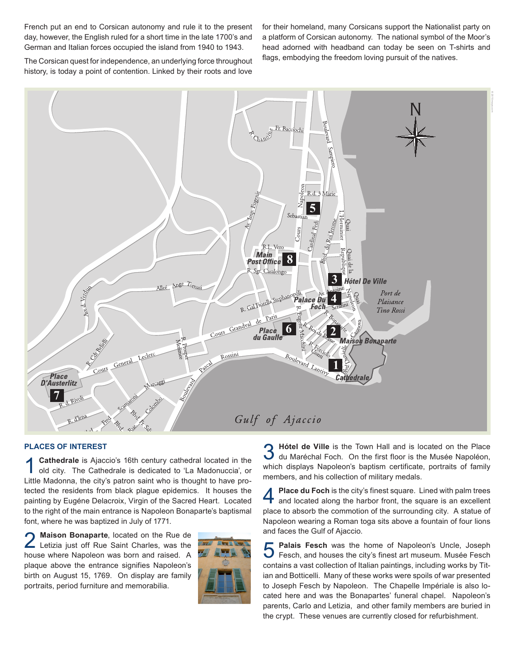French put an end to Corsican autonomy and rule it to the present day, however, the English ruled for a short time in the late 1700's and German and Italian forces occupied the island from 1940 to 1943.

for their homeland, many Corsicans support the Nationalist party on a platform of Corsican autonomy. The national symbol of the Moor's head adorned with headband can today be seen on T-shirts and flags, embodying the freedom loving pursuit of the natives.

The Corsican quest for independence, an underlying force throughout history, is today a point of contention. Linked by their roots and love



#### **PLACES OF INTEREST**

**1 Cathedrale** is Ajaccio's 16th century cathedral located in the old city. The Cathedrale is dedicated to 'La Madonuccia', or Little Madonna, the city's patron saint who is thought to have protected the residents from black plague epidemics. It houses the painting by Eugéne Delacroix, Virgin of the Sacred Heart. Located to the right of the main entrance is Napoleon Bonaparte's baptismal font, where he was baptized in July of 1771.

2 Maison Bonaparte, located on the Rue de<br>Letizia just off Rue Saint Charles, was the house where Napoleon was born and raised. A plaque above the entrance signifies Napoleon's birth on August 15, 1769. On display are family portraits, period furniture and memorabilia.



3 **Hótel de Ville** is the Town Hall and is located on the Place du Maréchal Foch. On the first floor is the Musée Napoléon, which displays Napoleon's baptism certificate, portraits of family members, and his collection of military medals.

**Place du Foch** is the city's finest square. Lined with palm trees and located along the harbor front, the square is an excellent place to absorb the commotion of the surrounding city. A statue of Napoleon wearing a Roman toga sits above a fountain of four lions and faces the Gulf of Ajaccio.

**5 Palais Fesch** was the home of Napoleon's Uncle, Joseph Fesch, and houses the city's finest art museum. Musée Fesch contains a vast collection of Italian paintings, including works by Titian and Botticelli. Many of these works were spoils of war presented to Joseph Fesch by Napoleon. The Chapelle Impériale is also located here and was the Bonapartes' funeral chapel. Napoleon's parents, Carlo and Letizia, and other family members are buried in the crypt. These venues are currently closed for refurbishment.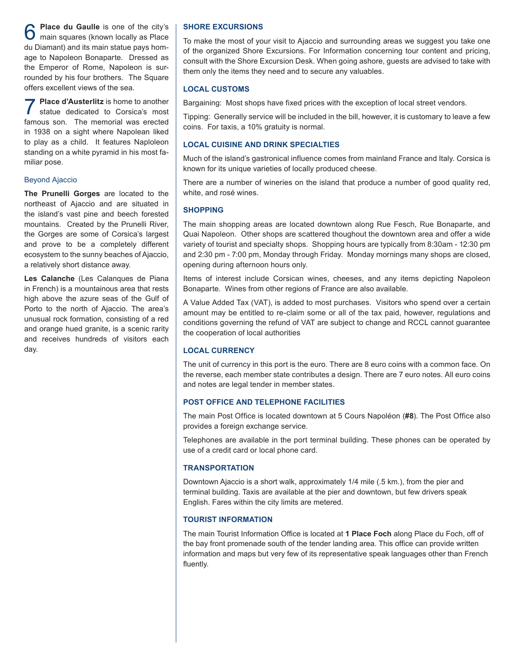6 **Place du Gaulle** is one of the city's main squares (known locally as Place du Diamant) and its main statue pays homage to Napoleon Bonaparte. Dressed as the Emperor of Rome, Napoleon is surrounded by his four brothers. The Square offers excellent views of the sea.

**7 Place d'Austerlitz** is home to another<br>statue dedicated to Corsica's most famous son. The memorial was erected in 1938 on a sight where Napolean liked to play as a child. It features Naploleon standing on a white pyramid in his most familiar pose.

#### Beyond Ajaccio

**The Prunelli Gorges** are located to the northeast of Ajaccio and are situated in the island's vast pine and beech forested mountains. Created by the Prunelli River, the Gorges are some of Corsica's largest and prove to be a completely different ecosystem to the sunny beaches of Ajaccio, a relatively short distance away.

**Les Calanche** (Les Calanques de Piana in French) is a mountainous area that rests high above the azure seas of the Gulf of Porto to the north of Ajaccio. The area's unusual rock formation, consisting of a red and orange hued granite, is a scenic rarity and receives hundreds of visitors each day.

### **SHORE EXCURSIONS**

To make the most of your visit to Ajaccio and surrounding areas we suggest you take one of the organized Shore Excursions. For Information concerning tour content and pricing, consult with the Shore Excursion Desk. When going ashore, guests are advised to take with them only the items they need and to secure any valuables.

## **LOCAL CUSTOMS**

Bargaining: Most shops have fixed prices with the exception of local street vendors.

Tipping: Generally service will be included in the bill, however, it is customary to leave a few coins. For taxis, a 10% gratuity is normal.

## **LOCAL CUISINE AND DRINK SPECIALTIES**

Much of the island's gastronical influence comes from mainland France and Italy. Corsica is known for its unique varieties of locally produced cheese.

There are a number of wineries on the island that produce a number of good quality red, white, and rosé wines.

#### **SHOPPING**

The main shopping areas are located downtown along Rue Fesch, Rue Bonaparte, and Quai Napoleon. Other shops are scattered thoughout the downtown area and offer a wide variety of tourist and specialty shops. Shopping hours are typically from 8:30am - 12:30 pm and 2:30 pm - 7:00 pm, Monday through Friday. Monday mornings many shops are closed, opening during afternoon hours only.

Items of interest include Corsican wines, cheeses, and any items depicting Napoleon Bonaparte. Wines from other regions of France are also available.

A Value Added Tax (VAT), is added to most purchases. Visitors who spend over a certain amount may be entitled to re-claim some or all of the tax paid, however, regulations and conditions governing the refund of VAT are subject to change and RCCL cannot guarantee the cooperation of local authorities

#### **LOCAL CURRENCY**

The unit of currency in this port is the euro. There are 8 euro coins with a common face. On the reverse, each member state contributes a design. There are 7 euro notes. All euro coins and notes are legal tender in member states.

#### **POST OFFICE AND TELEPHONE FACILITIES**

The main Post Office is located downtown at 5 Cours Napoléon (**#8**). The Post Office also provides a foreign exchange service.

Telephones are available in the port terminal building. These phones can be operated by use of a credit card or local phone card.

### **TRANSPORTATION**

Downtown Ajaccio is a short walk, approximately 1/4 mile (.5 km.), from the pier and terminal building. Taxis are available at the pier and downtown, but few drivers speak English. Fares within the city limits are metered.

#### **TOURIST INFORMATION**

The main Tourist Information Office is located at **1 Place Foch** along Place du Foch, off of the bay front promenade south of the tender landing area. This office can provide written information and maps but very few of its representative speak languages other than French fluently.